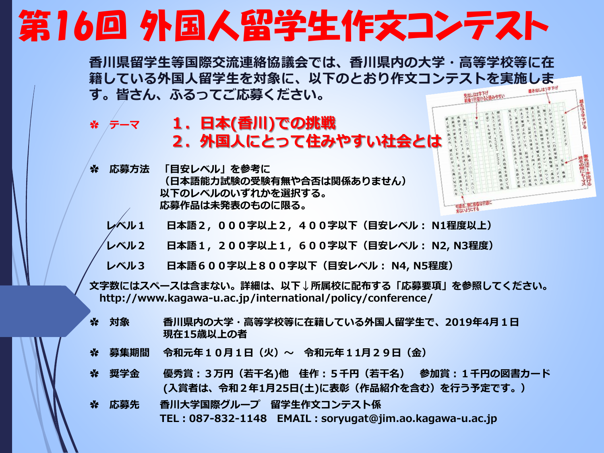## 第16回 外国人留学生作文コンテスト

**香川県留学生等国際交流連絡協議会では、香川県内の大学・高等学校等に在 籍している外国人留学生を対象に、以下のとおり作文コンテストを実施しま す。皆さん、ふるってご応募ください。**

- ✿ **テーマ 1.日本(香川)での挑戦 2.外国人にとって住みやすい社会とは**
- **✿ 応募方法 「目安レベル」を参考に (日本語能力試験の受験有無や合否は関係ありません) 以下のレベルのいずれかを選択する。 応募作品は未発表のものに限る。**
	- **レベル1 日本語2,000字以上2,400字以下(目安レベル: N1程度以上)**
	- **レベル2 日本語1,200字以上1,600字以下(目安レベル: N2, N3程度)**
	- **レベル3 日本語600字以上800字以下(目安レベル: N4, N5程度)**
- **文字数にはスペースは含まない。詳細は、以下↓所属校に配布する「応募要項」を参照してください。 http://www.kagawa-u.ac.jp/international/policy/conference/**
- **✿ 対象 香川県内の大学・高等学校等に在籍している外国人留学生で、2019年4月1日 現在15歳以上の者**
- **✿ 募集期間 令和元年10月1日(火)~ 令和元年11月29日(金)**
- **✿ 奨学金 優秀賞:3万円(若干名)他 佳作:5千円(若干名) 参加賞:1千円の図書カード (入賞者は、令和2年1月25日(土)に表彰(作品紹介を含む)を行う予定です。)**
- **✿ 応募先 香川大学国際グループ 留学生作文コンテスト係 TEL:087-832-1148 EMAIL:soryugat@jim.ao.kagawa-u.ac.jp**